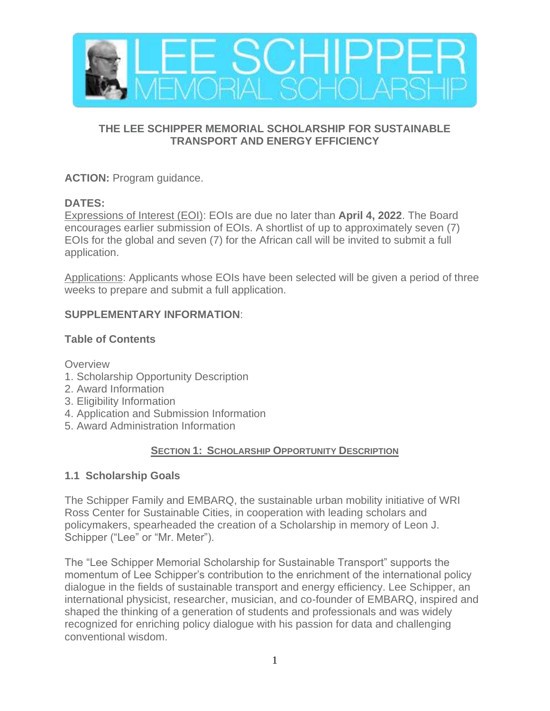

## **THE LEE SCHIPPER MEMORIAL SCHOLARSHIP FOR SUSTAINABLE TRANSPORT AND ENERGY EFFICIENCY**

**ACTION:** Program guidance.

# **DATES:**

Expressions of Interest (EOI): EOIs are due no later than **April 4, 2022**. The Board encourages earlier submission of EOIs. A shortlist of up to approximately seven (7) EOIs for the global and seven (7) for the African call will be invited to submit a full application.

Applications: Applicants whose EOIs have been selected will be given a period of three weeks to prepare and submit a full application.

# **SUPPLEMENTARY INFORMATION**:

# **Table of Contents**

**Overview** 

- 1. Scholarship Opportunity Description
- 2. Award Information
- 3. Eligibility Information
- 4. Application and Submission Information
- 5. Award Administration Information

# **SECTION 1: SCHOLARSHIP OPPORTUNITY DESCRIPTION**

# **1.1 Scholarship Goals**

The Schipper Family and EMBARQ, the sustainable urban mobility initiative of WRI Ross Center for Sustainable Cities, in cooperation with leading scholars and policymakers, spearheaded the creation of a Scholarship in memory of Leon J. Schipper ("Lee" or "Mr. Meter").

The "Lee Schipper Memorial Scholarship for Sustainable Transport" supports the momentum of Lee Schipper's contribution to the enrichment of the international policy dialogue in the fields of sustainable transport and energy efficiency. Lee Schipper, an international physicist, researcher, musician, and co-founder of EMBARQ, inspired and shaped the thinking of a generation of students and professionals and was widely recognized for enriching policy dialogue with his passion for data and challenging conventional wisdom.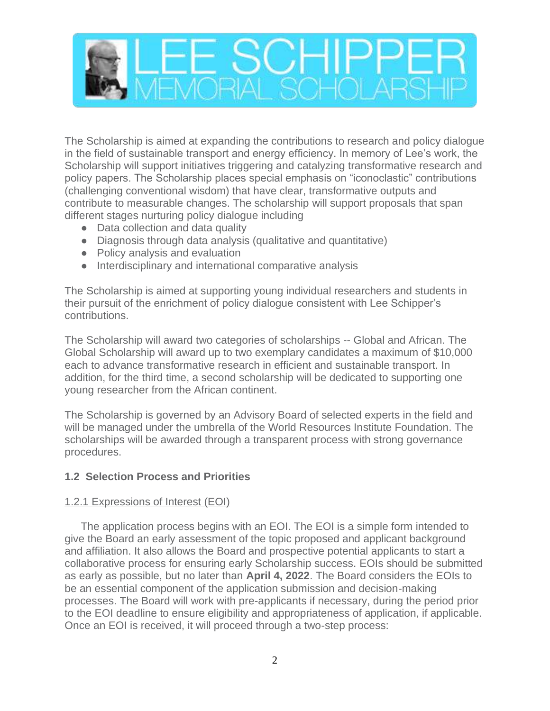

The Scholarship is aimed at expanding the contributions to research and policy dialogue in the field of sustainable transport and energy efficiency. In memory of Lee's work, the Scholarship will support initiatives triggering and catalyzing transformative research and policy papers. The Scholarship places special emphasis on "iconoclastic" contributions (challenging conventional wisdom) that have clear, transformative outputs and contribute to measurable changes. The scholarship will support proposals that span different stages nurturing policy dialogue including

- Data collection and data quality
- Diagnosis through data analysis (qualitative and quantitative)
- Policy analysis and evaluation
- Interdisciplinary and international comparative analysis

The Scholarship is aimed at supporting young individual researchers and students in their pursuit of the enrichment of policy dialogue consistent with Lee Schipper's contributions.

The Scholarship will award two categories of scholarships -- Global and African. The Global Scholarship will award up to two exemplary candidates a maximum of \$10,000 each to advance transformative research in efficient and sustainable transport. In addition, for the third time, a second scholarship will be dedicated to supporting one young researcher from the African continent.

The Scholarship is governed by an Advisory Board of selected experts in the field and will be managed under the umbrella of the World Resources Institute Foundation. The scholarships will be awarded through a transparent process with strong governance procedures.

## **1.2 Selection Process and Priorities**

#### 1.2.1 Expressions of Interest (EOI)

The application process begins with an EOI. The EOI is a simple form intended to give the Board an early assessment of the topic proposed and applicant background and affiliation. It also allows the Board and prospective potential applicants to start a collaborative process for ensuring early Scholarship success. EOIs should be submitted as early as possible, but no later than **April 4, 2022**. The Board considers the EOIs to be an essential component of the application submission and decision-making processes. The Board will work with pre-applicants if necessary, during the period prior to the EOI deadline to ensure eligibility and appropriateness of application, if applicable. Once an EOI is received, it will proceed through a two-step process: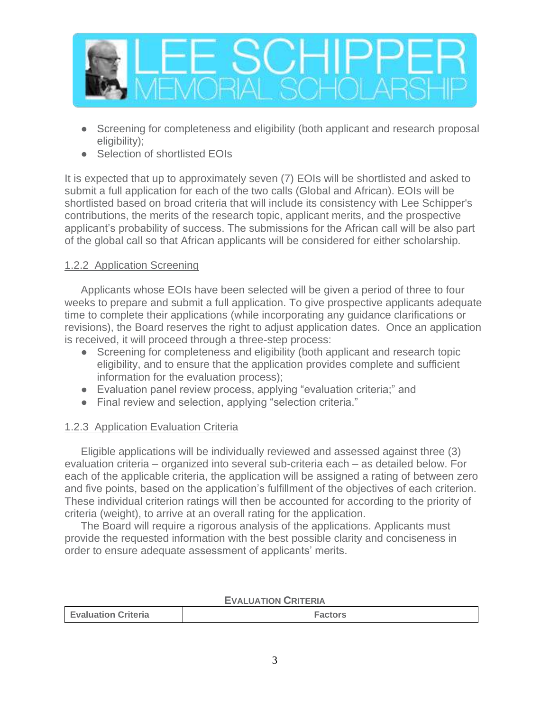

- Screening for completeness and eligibility (both applicant and research proposal eligibility);
- Selection of shortlisted EOIs

It is expected that up to approximately seven (7) EOIs will be shortlisted and asked to submit a full application for each of the two calls (Global and African). EOIs will be shortlisted based on broad criteria that will include its consistency with Lee Schipper's contributions, the merits of the research topic, applicant merits, and the prospective applicant's probability of success. The submissions for the African call will be also part of the global call so that African applicants will be considered for either scholarship.

# 1.2.2 Application Screening

Applicants whose EOIs have been selected will be given a period of three to four weeks to prepare and submit a full application. To give prospective applicants adequate time to complete their applications (while incorporating any guidance clarifications or revisions), the Board reserves the right to adjust application dates. Once an application is received, it will proceed through a three-step process:

- Screening for completeness and eligibility (both applicant and research topic eligibility, and to ensure that the application provides complete and sufficient information for the evaluation process);
- Evaluation panel review process, applying "evaluation criteria;" and
- Final review and selection, applying "selection criteria."

# 1.2.3 Application Evaluation Criteria

Eligible applications will be individually reviewed and assessed against three (3) evaluation criteria – organized into several sub-criteria each – as detailed below. For each of the applicable criteria, the application will be assigned a rating of between zero and five points, based on the application's fulfillment of the objectives of each criterion. These individual criterion ratings will then be accounted for according to the priority of criteria (weight), to arrive at an overall rating for the application.

The Board will require a rigorous analysis of the applications. Applicants must provide the requested information with the best possible clarity and conciseness in order to ensure adequate assessment of applicants' merits.

| <b>EVALUATION CRITERIA</b> |                |  |  |
|----------------------------|----------------|--|--|
| <b>Evaluation Criteria</b> | <b>Factors</b> |  |  |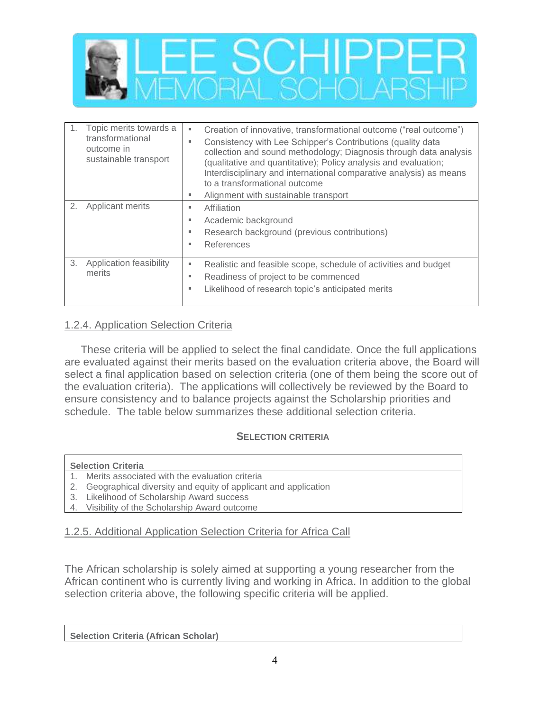

|    | Topic merits towards a<br>transformational<br>outcome in<br>sustainable transport | Creation of innovative, transformational outcome ("real outcome")<br>٠<br>Consistency with Lee Schipper's Contributions (quality data<br>٠<br>collection and sound methodology; Diagnosis through data analysis<br>(qualitative and quantitative); Policy analysis and evaluation;<br>Interdisciplinary and international comparative analysis) as means<br>to a transformational outcome<br>Alignment with sustainable transport<br>٠ |
|----|-----------------------------------------------------------------------------------|----------------------------------------------------------------------------------------------------------------------------------------------------------------------------------------------------------------------------------------------------------------------------------------------------------------------------------------------------------------------------------------------------------------------------------------|
| 2. | Applicant merits                                                                  | Affiliation<br>٠<br>Academic background<br>٠<br>Research background (previous contributions)<br>٠<br>References<br>×.                                                                                                                                                                                                                                                                                                                  |
| 3. | Application feasibility<br>merits                                                 | Realistic and feasible scope, schedule of activities and budget<br>٠<br>Readiness of project to be commenced<br>٠<br>Likelihood of research topic's anticipated merits<br>٠                                                                                                                                                                                                                                                            |

#### 1.2.4. Application Selection Criteria

These criteria will be applied to select the final candidate. Once the full applications are evaluated against their merits based on the evaluation criteria above, the Board will select a final application based on selection criteria (one of them being the score out of the evaluation criteria). The applications will collectively be reviewed by the Board to ensure consistency and to balance projects against the Scholarship priorities and schedule. The table below summarizes these additional selection criteria.

#### **SELECTION CRITERIA**

#### **Selection Criteria**

- 1. Merits associated with the evaluation criteria
- 2. Geographical diversity and equity of applicant and application
- 3. Likelihood of Scholarship Award success
- 4. Visibility of the Scholarship Award outcome

#### 1.2.5. Additional Application Selection Criteria for Africa Call

The African scholarship is solely aimed at supporting a young researcher from the African continent who is currently living and working in Africa. In addition to the global selection criteria above, the following specific criteria will be applied.

**Selection Criteria (African Scholar)**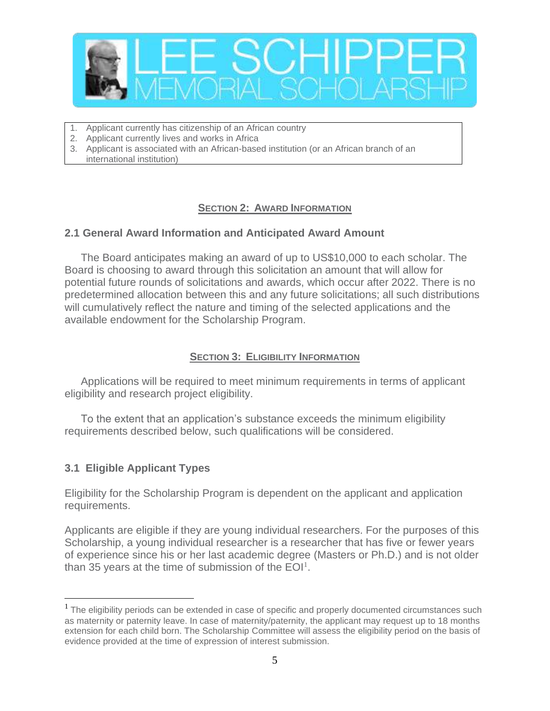

- 1. Applicant currently has citizenship of an African country
- 2. Applicant currently lives and works in Africa
- 3. Applicant is associated with an African-based institution (or an African branch of an international institution)

#### **SECTION 2: AWARD INFORMATION**

## **2.1 General Award Information and Anticipated Award Amount**

The Board anticipates making an award of up to US\$10,000 to each scholar. The Board is choosing to award through this solicitation an amount that will allow for potential future rounds of solicitations and awards, which occur after 2022. There is no predetermined allocation between this and any future solicitations; all such distributions will cumulatively reflect the nature and timing of the selected applications and the available endowment for the Scholarship Program.

#### **SECTION 3: ELIGIBILITY INFORMATION**

Applications will be required to meet minimum requirements in terms of applicant eligibility and research project eligibility.

To the extent that an application's substance exceeds the minimum eligibility requirements described below, such qualifications will be considered.

## **3.1 Eligible Applicant Types**

Eligibility for the Scholarship Program is dependent on the applicant and application requirements.

Applicants are eligible if they are young individual researchers. For the purposes of this Scholarship, a young individual researcher is a researcher that has five or fewer years of experience since his or her last academic degree (Masters or Ph.D.) and is not older than 35 years at the time of submission of the  $E O I<sup>1</sup>$ .

 $<sup>1</sup>$  The eligibility periods can be extended in case of specific and properly documented circumstances such</sup> as maternity or paternity leave. In case of maternity/paternity, the applicant may request up to 18 months extension for each child born. The Scholarship Committee will assess the eligibility period on the basis of evidence provided at the time of expression of interest submission.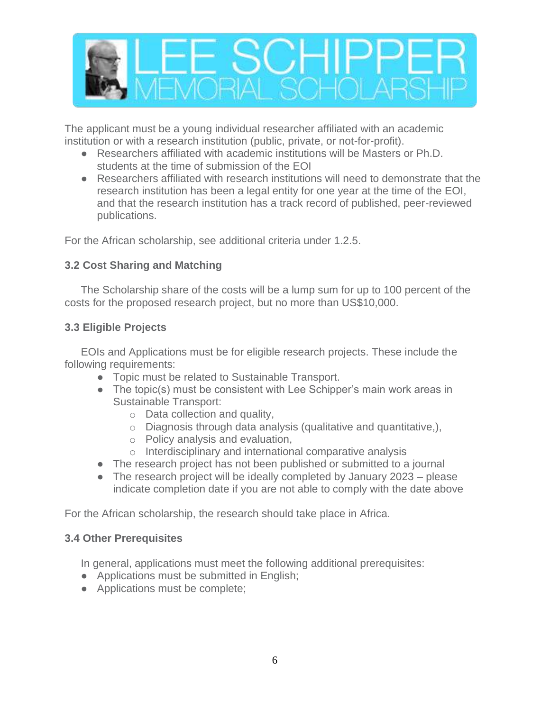

The applicant must be a young individual researcher affiliated with an academic institution or with a research institution (public, private, or not-for-profit).

- Researchers affiliated with academic institutions will be Masters or Ph.D. students at the time of submission of the EOI
- Researchers affiliated with research institutions will need to demonstrate that the research institution has been a legal entity for one year at the time of the EOI, and that the research institution has a track record of published, peer-reviewed publications.

For the African scholarship, see additional criteria under 1.2.5.

## **3.2 Cost Sharing and Matching**

The Scholarship share of the costs will be a lump sum for up to 100 percent of the costs for the proposed research project, but no more than US\$10,000.

# **3.3 Eligible Projects**

EOIs and Applications must be for eligible research projects. These include the following requirements:

- Topic must be related to Sustainable Transport.
- The topic(s) must be consistent with Lee Schipper's main work areas in Sustainable Transport:
	- o Data collection and quality,
	- $\circ$  Diagnosis through data analysis (qualitative and quantitative.),
	- o Policy analysis and evaluation,
	- o Interdisciplinary and international comparative analysis
- The research project has not been published or submitted to a journal
- The research project will be ideally completed by January 2023 please indicate completion date if you are not able to comply with the date above

For the African scholarship, the research should take place in Africa.

## **3.4 Other Prerequisites**

In general, applications must meet the following additional prerequisites:

- Applications must be submitted in English;
- Applications must be complete;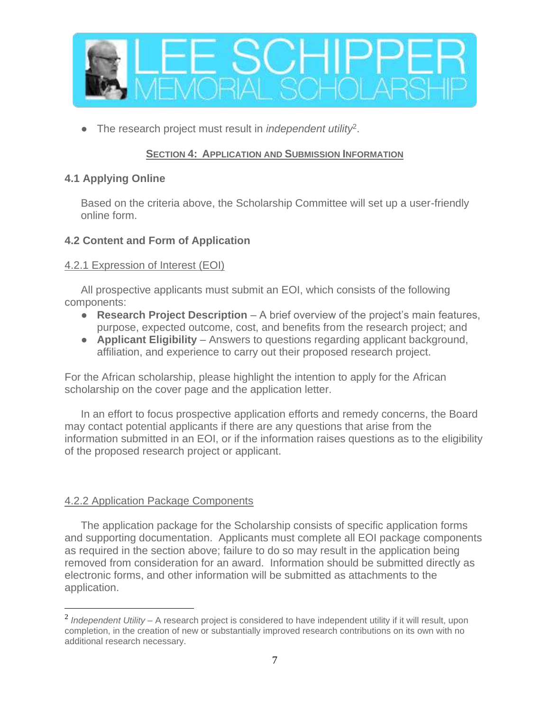

● The research project must result in *independent utility*<sup>2</sup> .

## **SECTION 4: APPLICATION AND SUBMISSION INFORMATION**

#### **4.1 Applying Online**

Based on the criteria above, the Scholarship Committee will set up a user-friendly online form.

## **4.2 Content and Form of Application**

#### 4.2.1 Expression of Interest (EOI)

All prospective applicants must submit an EOI, which consists of the following components:

- **Research Project Description** A brief overview of the project's main features, purpose, expected outcome, cost, and benefits from the research project; and
- **Applicant Eligibility** Answers to questions regarding applicant background, affiliation, and experience to carry out their proposed research project.

For the African scholarship, please highlight the intention to apply for the African scholarship on the cover page and the application letter.

In an effort to focus prospective application efforts and remedy concerns, the Board may contact potential applicants if there are any questions that arise from the information submitted in an EOI, or if the information raises questions as to the eligibility of the proposed research project or applicant.

## 4.2.2 Application Package Components

The application package for the Scholarship consists of specific application forms and supporting documentation. Applicants must complete all EOI package components as required in the section above; failure to do so may result in the application being removed from consideration for an award. Information should be submitted directly as electronic forms, and other information will be submitted as attachments to the application.

<sup>2</sup> *Independent Utility* – A research project is considered to have independent utility if it will result, upon completion, in the creation of new or substantially improved research contributions on its own with no additional research necessary.